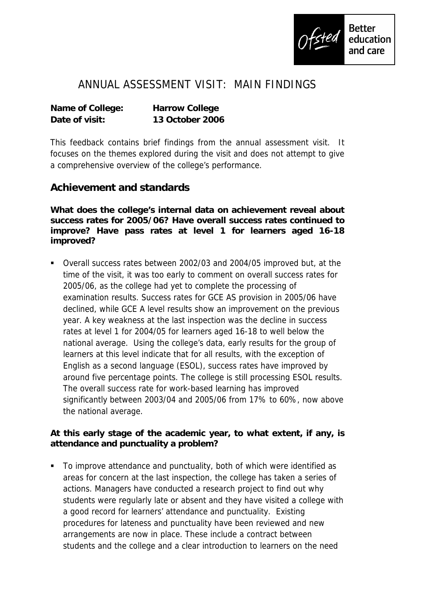

## ANNUAL ASSESSMENT VISIT: MAIN FINDINGS

| Name of College: | Harrow College  |
|------------------|-----------------|
| Date of visit:   | 13 October 2006 |

This feedback contains brief findings from the annual assessment visit. It focuses on the themes explored during the visit and does not attempt to give a comprehensive overview of the college's performance.

## **Achievement and standards**

**What does the college's internal data on achievement reveal about success rates for 2005/06? Have overall success rates continued to improve? Have pass rates at level 1 for learners aged 16-18 improved?**

 Overall success rates between 2002/03 and 2004/05 improved but, at the time of the visit, it was too early to comment on overall success rates for 2005/06, as the college had yet to complete the processing of examination results. Success rates for GCE AS provision in 2005/06 have declined, while GCE A level results show an improvement on the previous year. A key weakness at the last inspection was the decline in success rates at level 1 for 2004/05 for learners aged 16-18 to well below the national average. Using the college's data, early results for the group of learners at this level indicate that for all results, with the exception of English as a second language (ESOL), success rates have improved by around five percentage points. The college is still processing ESOL results. The overall success rate for work-based learning has improved significantly between 2003/04 and 2005/06 from 17% to 60%, now above the national average.

**At this early stage of the academic year, to what extent, if any, is attendance and punctuality a problem?** 

■ To improve attendance and punctuality, both of which were identified as areas for concern at the last inspection, the college has taken a series of actions. Managers have conducted a research project to find out why students were regularly late or absent and they have visited a college with a good record for learners' attendance and punctuality. Existing procedures for lateness and punctuality have been reviewed and new arrangements are now in place. These include a contract between students and the college and a clear introduction to learners on the need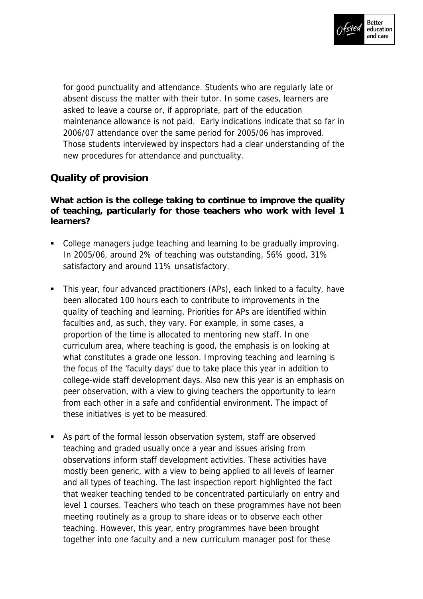

for good punctuality and attendance. Students who are regularly late or absent discuss the matter with their tutor. In some cases, learners are asked to leave a course or, if appropriate, part of the education maintenance allowance is not paid. Early indications indicate that so far in 2006/07 attendance over the same period for 2005/06 has improved. Those students interviewed by inspectors had a clear understanding of the new procedures for attendance and punctuality.

## **Quality of provision**

**What action is the college taking to continue to improve the quality of teaching, particularly for those teachers who work with level 1 learners?**

- College managers judge teaching and learning to be gradually improving. In 2005/06, around 2% of teaching was outstanding, 56% good, 31% satisfactory and around 11% unsatisfactory.
- This year, four advanced practitioners (APs), each linked to a faculty, have been allocated 100 hours each to contribute to improvements in the quality of teaching and learning. Priorities for APs are identified within faculties and, as such, they vary. For example, in some cases, a proportion of the time is allocated to mentoring new staff. In one curriculum area, where teaching is good, the emphasis is on looking at what constitutes a grade one lesson. Improving teaching and learning is the focus of the 'faculty days' due to take place this year in addition to college-wide staff development days. Also new this year is an emphasis on peer observation, with a view to giving teachers the opportunity to learn from each other in a safe and confidential environment. The impact of these initiatives is yet to be measured.
- As part of the formal lesson observation system, staff are observed teaching and graded usually once a year and issues arising from observations inform staff development activities. These activities have mostly been generic, with a view to being applied to all levels of learner and all types of teaching. The last inspection report highlighted the fact that weaker teaching tended to be concentrated particularly on entry and level 1 courses. Teachers who teach on these programmes have not been meeting routinely as a group to share ideas or to observe each other teaching. However, this year, entry programmes have been brought together into one faculty and a new curriculum manager post for these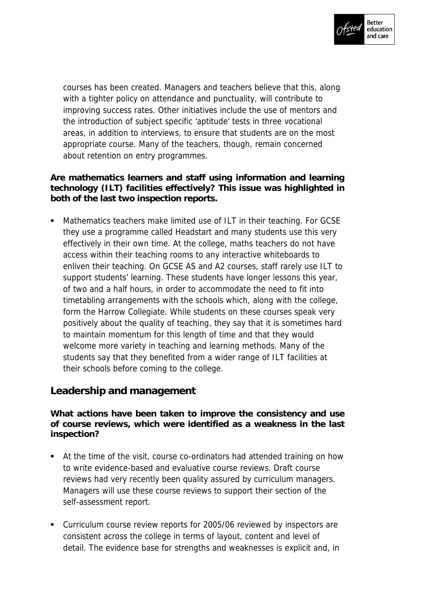

courses has been created. Managers and teachers believe that this, along with a tighter policy on attendance and punctuality, will contribute to improving success rates. Other initiatives include the use of mentors and the introduction of subject specific 'aptitude' tests in three vocational areas, in addition to interviews, to ensure that students are on the most appropriate course. Many of the teachers, though, remain concerned about retention on entry programmes.

**Are mathematics learners and staff using information and learning technology (ILT) facilities effectively? This issue was highlighted in both of the last two inspection reports.**

 Mathematics teachers make limited use of ILT in their teaching. For GCSE they use a programme called Headstart and many students use this very effectively in their own time. At the college, maths teachers do not have access within their teaching rooms to any interactive whiteboards to enliven their teaching. On GCSE AS and A2 courses, staff rarely use ILT to support students' learning. These students have longer lessons this year, of two and a half hours, in order to accommodate the need to fit into timetabling arrangements with the schools which, along with the college, form the Harrow Collegiate. While students on these courses speak very positively about the quality of teaching, they say that it is sometimes hard to maintain momentum for this length of time and that they would welcome more variety in teaching and learning methods. Many of the students say that they benefited from a wider range of ILT facilities at their schools before coming to the college.

## **Leadership and management**

**What actions have been taken to improve the consistency and use of course reviews, which were identified as a weakness in the last inspection?**

- At the time of the visit, course co-ordinators had attended training on how to write evidence-based and evaluative course reviews. Draft course reviews had very recently been quality assured by curriculum managers. Managers will use these course reviews to support their section of the self-assessment report.
- Curriculum course review reports for 2005/06 reviewed by inspectors are consistent across the college in terms of layout, content and level of detail. The evidence base for strengths and weaknesses is explicit and, in